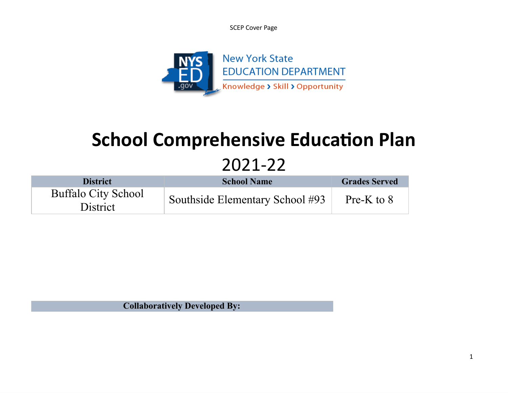SCEP Cover Page



# **School Comprehensive Education Plan** 2021-22

| <b>District</b>                        | <b>School Name</b>              | <b>Grades Served</b> |
|----------------------------------------|---------------------------------|----------------------|
| <b>Buffalo City School</b><br>District | Southside Elementary School #93 | Pre-K to $8$         |

**Collaboratively Developed By:**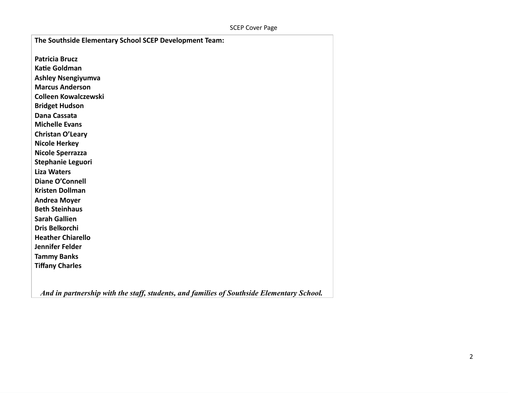| The Southside Elementary School SCEP Development Team: |
|--------------------------------------------------------|
| <b>Patricia Brucz</b>                                  |
| <b>Katie Goldman</b>                                   |
| <b>Ashley Nsengiyumva</b>                              |
| <b>Marcus Anderson</b>                                 |
| <b>Colleen Kowalczewski</b>                            |
|                                                        |
| <b>Bridget Hudson</b>                                  |
| Dana Cassata                                           |
| <b>Michelle Evans</b>                                  |
| Christan O'Leary                                       |
| <b>Nicole Herkey</b>                                   |
| <b>Nicole Sperrazza</b>                                |
| <b>Stephanie Leguori</b>                               |
| <b>Liza Waters</b>                                     |
| <b>Diane O'Connell</b>                                 |
| <b>Kristen Dollman</b>                                 |
| <b>Andrea Moyer</b>                                    |
| <b>Beth Steinhaus</b>                                  |
| <b>Sarah Gallien</b>                                   |
| <b>Dris Belkorchi</b>                                  |
| <b>Heather Chiarello</b>                               |
| Jennifer Felder                                        |
| <b>Tammy Banks</b>                                     |
| <b>Tiffany Charles</b>                                 |
|                                                        |

*And in partnership with the staff, students, and families of Southside Elementary School.*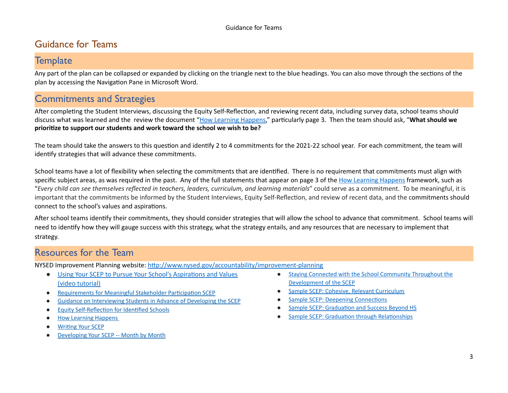# Guidance for Teams

### **Template**

Any part of the plan can be collapsed or expanded by clicking on the triangle next to the blue headings. You can also move through the sections of the plan by accessing the Navigation Pane in Microsoft Word.

# Commitments and Strategies

After completing the Student Interviews, discussing the Equity Self-Reflection, and reviewing recent data, including survey data, school teams should discuss what was learned and the review the document "How Learning [Happens](http://www.nysed.gov/common/nysed/files/programs/accountability/how-learning-happens-messaging-framework.pdf)," particularly page 3. Then the team should ask, "**What should we prioritize to support our students and work toward the school we wish to be?**

The team should take the answers to this question and identify 2 to 4 commitments for the 2021-22 school year. For each commitment, the team will identify strategies that will advance these commitments.

School teams have a lot of flexibility when selecting the commitments that are identified. There is no requirement that commitments must align with specific subject areas, as was required in the past. Any of the full statements that appear on page 3 of the How Learning [Happens](http://www.nysed.gov/common/nysed/files/programs/accountability/how-learning-happens-messaging-framework.pdf) framework, such as "Every child can see themselves reflected in teachers, leaders, curriculum, and learning materials" could serve as a commitment. To be meaningful, it is important that the commitments be informed by the Student Interviews, Equity Self-Reflection, and review of recent data, and the commitments should connect to the school's values and aspirations.

After school teams identify their commitments, they should consider strategies that will allow the school to advance that commitment. School teams will need to identify how they will gauge success with this strategy, what the strategy entails, and any resources that are necessary to implement that strategy.

### Resources for the Team

NYSED Improvement Planning website: <http://www.nysed.gov/accountability/improvement-planning>

- Using Your SCEP to Pursue Your School's [Aspirations](https://vimeo.com/547580129) and Values (video [tutorial\)](https://vimeo.com/547580129)
- [Requirements](http://www.nysed.gov/common/nysed/files/programs/accountability/scep-requirements-stakeholder-participation.pdf) for Meaningful Stakeholder Participation SCEP
- Guidance on [Interviewing](http://www.nysed.gov/common/nysed/files/programs/accountability/interviewing-students-in-advance-developing-scep.pdf) Students in Advance of Developing the SCEP
- Equity [Self-Reflection](http://www.nysed.gov/common/nysed/files/programs/accountability/equity-self-reflection-identified-schools.docx) for Identified Schools
- How Learning [Happens](http://www.nysed.gov/common/nysed/files/programs/accountability/how-learning-happens-messaging-framework.pdf)
- [Writing](http://www.nysed.gov/common/nysed/files/programs/accountability/writing-your-scep.pdf) Your SCEP
- [Developing](http://www.nysed.gov/common/nysed/files/programs/accountability/developing-your-scep-month-by-month.pdf) Your SCEP -- Month by Month
- Staying Connected with the School Community [Throughout](http://www.nysed.gov/common/nysed/files/programs/accountability/staying_connected_with_the_school_community_throughout_the_development_of_the_scep.pdf) the [Development](http://www.nysed.gov/common/nysed/files/programs/accountability/staying_connected_with_the_school_community_throughout_the_development_of_the_scep.pdf) of the SCEP
- Sample SCEP: Cohesive, Relevant [Curriculum](http://www.nysed.gov/common/nysed/files/programs/accountability/2021-22_scep_sample_commitment_-_cohesive_relevant_curriculum.pdf)
- Sample SCEP: Deepening [Connections](http://www.nysed.gov/common/nysed/files/programs/accountability/2021-22_scep_sample_commitment_-_deepening_connections.pdf)
- Sample SCEP: [Graduation](http://www.nysed.gov/common/nysed/files/programs/accountability/2021-22_scep_sample_commitment_-_graduation_and_success_beyond_hs.pdf) and Success Beyond HS
- Sample SCEP: Graduation through [Relationships](http://www.nysed.gov/common/nysed/files/programs/accountability/2021-22_scep_sample_commitment_-_graduation_through_relationships.pdf)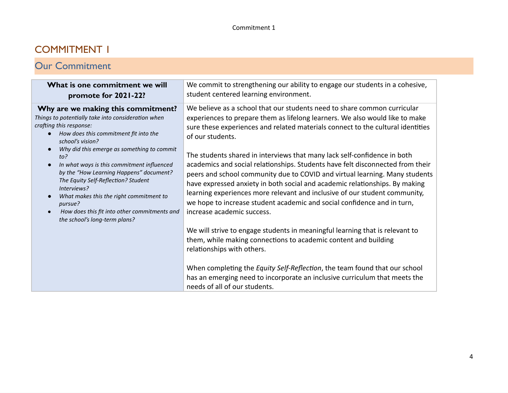# COMMITMENT 1

# Our Commitment

| What is one commitment we will<br>promote for 2021-22?                                                                                                                                                                                                                                                                                                            | We commit to strengthening our ability to engage our students in a cohesive,<br>student centered learning environment.                                                                                                                                                                                                                                                                                                                                                                                          |  |  |
|-------------------------------------------------------------------------------------------------------------------------------------------------------------------------------------------------------------------------------------------------------------------------------------------------------------------------------------------------------------------|-----------------------------------------------------------------------------------------------------------------------------------------------------------------------------------------------------------------------------------------------------------------------------------------------------------------------------------------------------------------------------------------------------------------------------------------------------------------------------------------------------------------|--|--|
| Why are we making this commitment?<br>Things to potentially take into consideration when<br>crafting this response:<br>How does this commitment fit into the<br>school's vision?                                                                                                                                                                                  | We believe as a school that our students need to share common curricular<br>experiences to prepare them as lifelong learners. We also would like to make<br>sure these experiences and related materials connect to the cultural identities<br>of our students.                                                                                                                                                                                                                                                 |  |  |
| Why did this emerge as something to commit<br>to?<br>In what ways is this commitment influenced<br>$\bullet$<br>by the "How Learning Happens" document?<br>The Equity Self-Reflection? Student<br>Interviews?<br>What makes this the right commitment to<br>$\bullet$<br>pursue?<br>How does this fit into other commitments and<br>the school's long-term plans? | The students shared in interviews that many lack self-confidence in both<br>academics and social relationships. Students have felt disconnected from their<br>peers and school community due to COVID and virtual learning. Many students<br>have expressed anxiety in both social and academic relationships. By making<br>learning experiences more relevant and inclusive of our student community,<br>we hope to increase student academic and social confidence and in turn,<br>increase academic success. |  |  |
|                                                                                                                                                                                                                                                                                                                                                                   | We will strive to engage students in meaningful learning that is relevant to<br>them, while making connections to academic content and building<br>relationships with others.                                                                                                                                                                                                                                                                                                                                   |  |  |
|                                                                                                                                                                                                                                                                                                                                                                   | When completing the Equity Self-Reflection, the team found that our school<br>has an emerging need to incorporate an inclusive curriculum that meets the<br>needs of all of our students.                                                                                                                                                                                                                                                                                                                       |  |  |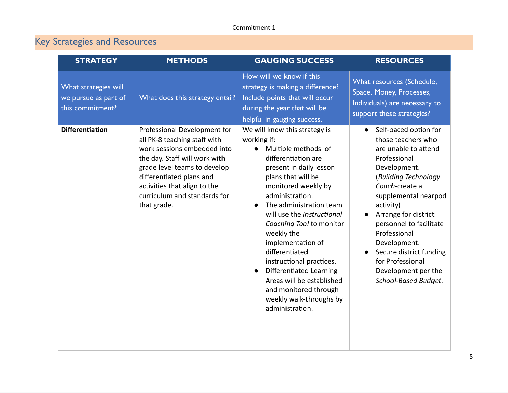# Key Strategies and Resources

| <b>STRATEGY</b>                                                  | <b>METHODS</b>                                                                                                                                                                                                                                                          | <b>GAUGING SUCCESS</b>                                                                                                                                                                                                                                                                                                                                                                                                                                                                                         | <b>RESOURCES</b>                                                                                                                                                                                                                                                                                                                                                                 |
|------------------------------------------------------------------|-------------------------------------------------------------------------------------------------------------------------------------------------------------------------------------------------------------------------------------------------------------------------|----------------------------------------------------------------------------------------------------------------------------------------------------------------------------------------------------------------------------------------------------------------------------------------------------------------------------------------------------------------------------------------------------------------------------------------------------------------------------------------------------------------|----------------------------------------------------------------------------------------------------------------------------------------------------------------------------------------------------------------------------------------------------------------------------------------------------------------------------------------------------------------------------------|
| What strategies will<br>we pursue as part of<br>this commitment? | What does this strategy entail?                                                                                                                                                                                                                                         | How will we know if this<br>strategy is making a difference?<br>Include points that will occur<br>during the year that will be<br>helpful in gauging success.                                                                                                                                                                                                                                                                                                                                                  | What resources (Schedule,<br>Space, Money, Processes,<br>Individuals) are necessary to<br>support these strategies?                                                                                                                                                                                                                                                              |
| <b>Differentiation</b>                                           | Professional Development for<br>all PK-8 teaching staff with<br>work sessions embedded into<br>the day. Staff will work with<br>grade level teams to develop<br>differentiated plans and<br>activities that align to the<br>curriculum and standards for<br>that grade. | We will know this strategy is<br>working if:<br>Multiple methods of<br>differentiation are<br>present in daily lesson<br>plans that will be<br>monitored weekly by<br>administration.<br>The administration team<br>$\bullet$<br>will use the Instructional<br>Coaching Tool to monitor<br>weekly the<br>implementation of<br>differentiated<br>instructional practices.<br><b>Differentiated Learning</b><br>Areas will be established<br>and monitored through<br>weekly walk-throughs by<br>administration. | Self-paced option for<br>$\bullet$<br>those teachers who<br>are unable to attend<br>Professional<br>Development.<br>(Building Technology<br>Coach-create a<br>supplemental nearpod<br>activity)<br>Arrange for district<br>personnel to facilitate<br>Professional<br>Development.<br>Secure district funding<br>for Professional<br>Development per the<br>School-Based Budget. |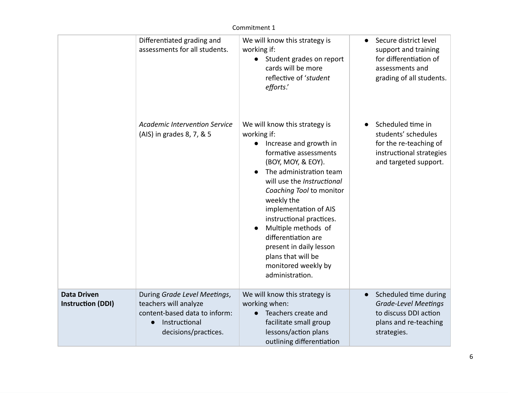|                                                | Differentiated grading and<br>assessments for all students.                                                                     | We will know this strategy is<br>working if:<br>Student grades on report<br>cards will be more<br>reflective of 'student<br>efforts.'                                                                                                                                                                                                                                                                                  | Secure district level<br>$\bullet$<br>support and training<br>for differentiation of<br>assessments and<br>grading of all students. |
|------------------------------------------------|---------------------------------------------------------------------------------------------------------------------------------|------------------------------------------------------------------------------------------------------------------------------------------------------------------------------------------------------------------------------------------------------------------------------------------------------------------------------------------------------------------------------------------------------------------------|-------------------------------------------------------------------------------------------------------------------------------------|
|                                                | <b>Academic Intervention Service</b><br>(AIS) in grades 8, 7, & 5                                                               | We will know this strategy is<br>working if:<br>Increase and growth in<br>formative assessments<br>(BOY, MOY, & EOY).<br>The administration team<br>will use the Instructional<br>Coaching Tool to monitor<br>weekly the<br>implementation of AIS<br>instructional practices.<br>Multiple methods of<br>differentiation are<br>present in daily lesson<br>plans that will be<br>monitored weekly by<br>administration. | Scheduled time in<br>students' schedules<br>for the re-teaching of<br>instructional strategies<br>and targeted support.             |
| <b>Data Driven</b><br><b>Instruction (DDI)</b> | During Grade Level Meetings,<br>teachers will analyze<br>content-based data to inform:<br>Instructional<br>decisions/practices. | We will know this strategy is<br>working when:<br>Teachers create and<br>facilitate small group<br>lessons/action plans<br>outlining differentiation                                                                                                                                                                                                                                                                   | Scheduled time during<br>$\bullet$<br><b>Grade-Level Meetings</b><br>to discuss DDI action<br>plans and re-teaching<br>strategies.  |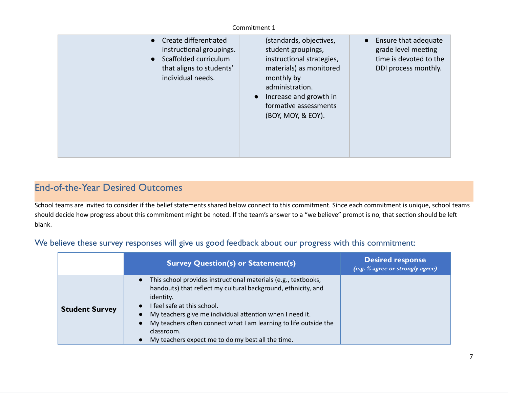| • Create differentiated<br>instructional groupings.<br>• Scaffolded curriculum<br>that aligns to students'<br>individual needs. | (standards, objectives,<br>student groupings,<br>instructional strategies,<br>materials) as monitored<br>monthly by<br>administration.<br>Increase and growth in<br>$\bullet$<br>formative assessments<br>(BOY, MOY, & EOY). | • Ensure that adequate<br>grade level meeting<br>time is devoted to the<br>DDI process monthly. |
|---------------------------------------------------------------------------------------------------------------------------------|------------------------------------------------------------------------------------------------------------------------------------------------------------------------------------------------------------------------------|-------------------------------------------------------------------------------------------------|
|---------------------------------------------------------------------------------------------------------------------------------|------------------------------------------------------------------------------------------------------------------------------------------------------------------------------------------------------------------------------|-------------------------------------------------------------------------------------------------|

# End-of-the-Year Desired Outcomes

School teams are invited to consider if the belief statements shared below connect to this commitment. Since each commitment is unique, school teams should decide how progress about this commitment might be noted. If the team's answer to a "we believe" prompt is no, that section should be left blank.

#### We believe these survey responses will give us good feedback about our progress with this commitment:

|                       | <b>Survey Question(s) or Statement(s)</b>                                                                                                                                                                                                                                                                                                                                      | <b>Desired response</b><br>(e.g. % agree or strongly agree) |
|-----------------------|--------------------------------------------------------------------------------------------------------------------------------------------------------------------------------------------------------------------------------------------------------------------------------------------------------------------------------------------------------------------------------|-------------------------------------------------------------|
| <b>Student Survey</b> | This school provides instructional materials (e.g., textbooks,<br>handouts) that reflect my cultural background, ethnicity, and<br>identity.<br>I feel safe at this school.<br>My teachers give me individual attention when I need it.<br>My teachers often connect what I am learning to life outside the<br>classroom.<br>My teachers expect me to do my best all the time. |                                                             |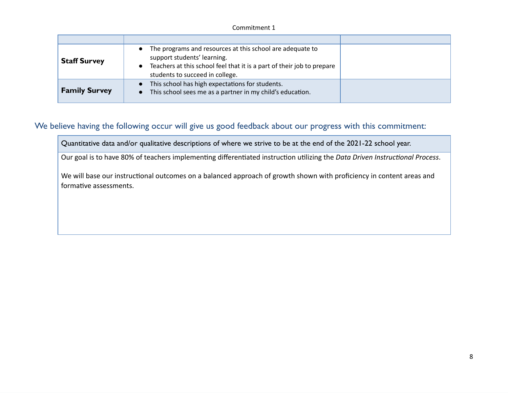| <b>Staff Survey</b>  | The programs and resources at this school are adequate to<br>$\bullet$<br>support students' learning.<br>Teachers at this school feel that it is a part of their job to prepare<br>$\bullet$<br>students to succeed in college. |  |
|----------------------|---------------------------------------------------------------------------------------------------------------------------------------------------------------------------------------------------------------------------------|--|
| <b>Family Survey</b> | This school has high expectations for students.<br>This school sees me as a partner in my child's education.                                                                                                                    |  |

### We believe having the following occur will give us good feedback about our progress with this commitment:

Quantitative data and/or qualitative descriptions of where we strive to be at the end of the 2021-22 school year.

Our goal is to have 80% of teachers implementing differentiated instruction utilizing the *Data Driven Instructional Process*.

We will base our instructional outcomes on a balanced approach of growth shown with proficiency in content areas and formative assessments.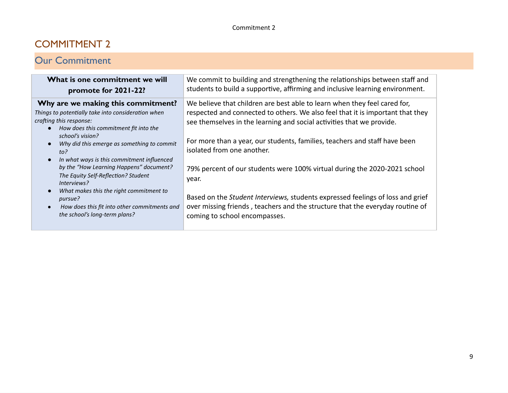# COMMITMENT 2

# Our Commitment

| What is one commitment we will<br>promote for 2021-22?                                                                                                                                                                                                                                                                                                                                                                                                                                                                                                                                       | We commit to building and strengthening the relationships between staff and<br>students to build a supportive, affirming and inclusive learning environment.                                                                                                                                                                                                                                                                                                                                                                                                                                                                               |
|----------------------------------------------------------------------------------------------------------------------------------------------------------------------------------------------------------------------------------------------------------------------------------------------------------------------------------------------------------------------------------------------------------------------------------------------------------------------------------------------------------------------------------------------------------------------------------------------|--------------------------------------------------------------------------------------------------------------------------------------------------------------------------------------------------------------------------------------------------------------------------------------------------------------------------------------------------------------------------------------------------------------------------------------------------------------------------------------------------------------------------------------------------------------------------------------------------------------------------------------------|
| Why are we making this commitment?<br>Things to potentially take into consideration when<br>crafting this response:<br>How does this commitment fit into the<br>$\bullet$<br>school's vision?<br>Why did this emerge as something to commit<br>$\bullet$<br>to?<br>In what ways is this commitment influenced<br>$\bullet$<br>by the "How Learning Happens" document?<br>The Equity Self-Reflection? Student<br>Interviews?<br>What makes this the right commitment to<br>$\bullet$<br>pursue?<br>How does this fit into other commitments and<br>$\bullet$<br>the school's long-term plans? | We believe that children are best able to learn when they feel cared for,<br>respected and connected to others. We also feel that it is important that they<br>see themselves in the learning and social activities that we provide.<br>For more than a year, our students, families, teachers and staff have been<br>isolated from one another.<br>79% percent of our students were 100% virtual during the 2020-2021 school<br>year.<br>Based on the Student Interviews, students expressed feelings of loss and grief<br>over missing friends, teachers and the structure that the everyday routine of<br>coming to school encompasses. |
|                                                                                                                                                                                                                                                                                                                                                                                                                                                                                                                                                                                              |                                                                                                                                                                                                                                                                                                                                                                                                                                                                                                                                                                                                                                            |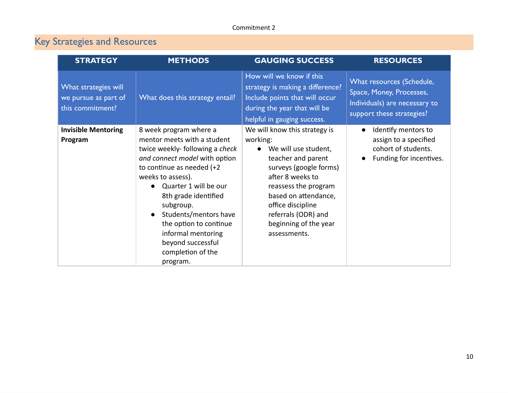# Key Strategies and Resources

| <b>STRATEGY</b>                                                  | <b>METHODS</b>                                                                                                                                                                                                                                                                                                                                                                          | <b>GAUGING SUCCESS</b>                                                                                                                                                                                                                                                       | <b>RESOURCES</b>                                                                                                    |
|------------------------------------------------------------------|-----------------------------------------------------------------------------------------------------------------------------------------------------------------------------------------------------------------------------------------------------------------------------------------------------------------------------------------------------------------------------------------|------------------------------------------------------------------------------------------------------------------------------------------------------------------------------------------------------------------------------------------------------------------------------|---------------------------------------------------------------------------------------------------------------------|
| What strategies will<br>we pursue as part of<br>this commitment? | What does this strategy entail?                                                                                                                                                                                                                                                                                                                                                         | How will we know if this<br>strategy is making a difference?<br>Include points that will occur<br>during the year that will be<br>helpful in gauging success.                                                                                                                | What resources (Schedule,<br>Space, Money, Processes,<br>Individuals) are necessary to<br>support these strategies? |
| <b>Invisible Mentoring</b><br>Program                            | 8 week program where a<br>mentor meets with a student<br>twice weekly-following a check<br>and connect model with option<br>to continue as needed $(+2)$<br>weeks to assess).<br>Quarter 1 will be our<br>8th grade identified<br>subgroup.<br>Students/mentors have<br>$\bullet$<br>the option to continue<br>informal mentoring<br>beyond successful<br>completion of the<br>program. | We will know this strategy is<br>working:<br>• We will use student,<br>teacher and parent<br>surveys (google forms)<br>after 8 weeks to<br>reassess the program<br>based on attendance,<br>office discipline<br>referrals (ODR) and<br>beginning of the year<br>assessments. | Identify mentors to<br>$\bullet$<br>assign to a specified<br>cohort of students.<br>Funding for incentives.         |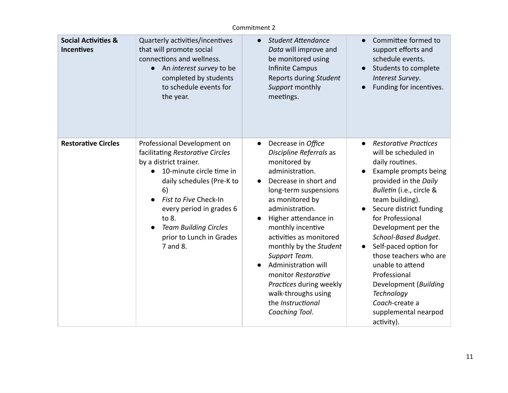| <b>Social Activities &amp;</b><br><b>Incentives</b> | Quarterly activities/incentives<br>that will promote social<br>connections and wellness.<br>An interest survey to be<br>completed by students<br>to schedule events for<br>the year.                                                                                                                        | <b>Student Attendance</b><br>$\bullet$<br>Data will improve and<br>be monitored using<br>Infinite Campus<br>Reports during Student<br>Support monthly<br>meetings.                                                                                                                                                                                                                                                                                           | Committee formed to<br>support efforts and<br>schedule events.<br>Students to complete<br>Interest Survey.<br>Funding for incentives.<br>$\bullet$                                                                                                                                                                                                                                                                                                                                                  |
|-----------------------------------------------------|-------------------------------------------------------------------------------------------------------------------------------------------------------------------------------------------------------------------------------------------------------------------------------------------------------------|--------------------------------------------------------------------------------------------------------------------------------------------------------------------------------------------------------------------------------------------------------------------------------------------------------------------------------------------------------------------------------------------------------------------------------------------------------------|-----------------------------------------------------------------------------------------------------------------------------------------------------------------------------------------------------------------------------------------------------------------------------------------------------------------------------------------------------------------------------------------------------------------------------------------------------------------------------------------------------|
| <b>Restorative Circles</b>                          | Professional Development on<br>facilitating Restorative Circles<br>by a district trainer.<br>10-minute circle time in<br>daily schedules (Pre-K to<br>6)<br>Fist to Five Check-In<br>every period in grades 6<br>to 8.<br><b>Team Building Circles</b><br>$\bullet$<br>prior to Lunch in Grades<br>7 and 8. | Decrease in Office<br>$\bullet$<br>Discipline Referrals as<br>monitored by<br>administration.<br>Decrease in short and<br>$\bullet$<br>long-term suspensions<br>as monitored by<br>administration.<br>Higher attendance in<br>monthly incentive<br>activities as monitored<br>monthly by the Student<br>Support Team.<br>Administration will<br>monitor Restorative<br>Practices during weekly<br>walk-throughs using<br>the Instructional<br>Coaching Tool. | <b>Restorative Practices</b><br>$\bullet$<br>will be scheduled in<br>daily routines.<br>Example prompts being<br>provided in the Daily<br>Bulletin (i.e., circle &<br>team building).<br>Secure district funding<br>$\bullet$<br>for Professional<br>Development per the<br>School-Based Budget.<br>Self-paced option for<br>$\bullet$<br>those teachers who are<br>unable to attend<br>Professional<br>Development (Building<br>Technology<br>Coach-create a<br>supplemental nearpod<br>activity). |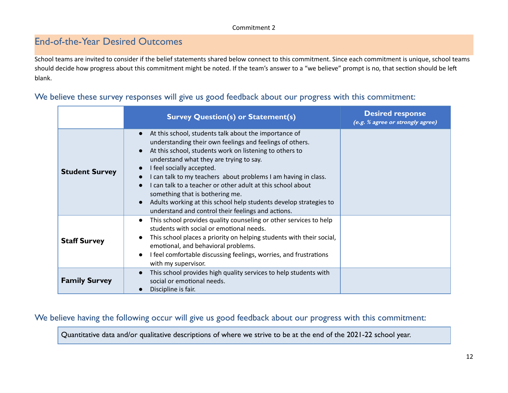# End-of-the-Year Desired Outcomes

School teams are invited to consider if the belief statements shared below connect to this commitment. Since each commitment is unique, school teams should decide how progress about this commitment might be noted. If the team's answer to a "we believe" prompt is no, that section should be left blank.

#### We believe these survey responses will give us good feedback about our progress with this commitment:

|                       | <b>Survey Question(s) or Statement(s)</b>                                                                                                                                                                                                                                                                                                                                                                                                                                                                                                                                                               | <b>Desired response</b><br>(e.g. % agree or strongly agree) |
|-----------------------|---------------------------------------------------------------------------------------------------------------------------------------------------------------------------------------------------------------------------------------------------------------------------------------------------------------------------------------------------------------------------------------------------------------------------------------------------------------------------------------------------------------------------------------------------------------------------------------------------------|-------------------------------------------------------------|
| <b>Student Survey</b> | At this school, students talk about the importance of<br>$\bullet$<br>understanding their own feelings and feelings of others.<br>At this school, students work on listening to others to<br>$\bullet$<br>understand what they are trying to say.<br>I feel socially accepted.<br>$\bullet$<br>I can talk to my teachers about problems I am having in class.<br>I can talk to a teacher or other adult at this school about<br>something that is bothering me.<br>Adults working at this school help students develop strategies to<br>$\bullet$<br>understand and control their feelings and actions. |                                                             |
| <b>Staff Survey</b>   | This school provides quality counseling or other services to help<br>$\bullet$<br>students with social or emotional needs.<br>This school places a priority on helping students with their social,<br>$\bullet$<br>emotional, and behavioral problems.<br>I feel comfortable discussing feelings, worries, and frustrations<br>$\bullet$<br>with my supervisor.                                                                                                                                                                                                                                         |                                                             |
| <b>Family Survey</b>  | This school provides high quality services to help students with<br>$\bullet$<br>social or emotional needs.<br>Discipline is fair.                                                                                                                                                                                                                                                                                                                                                                                                                                                                      |                                                             |

We believe having the following occur will give us good feedback about our progress with this commitment:

Quantitative data and/or qualitative descriptions of where we strive to be at the end of the 2021-22 school year.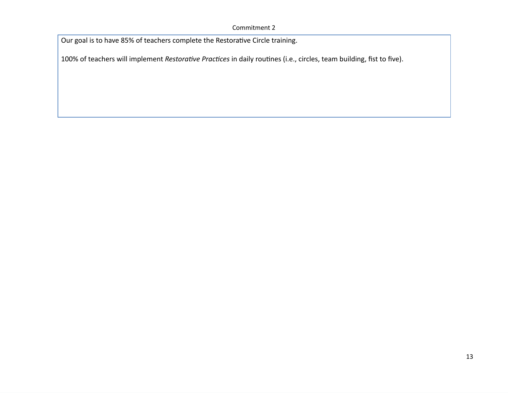Our goal is to have 85% of teachers complete the Restorative Circle training.

100% of teachers will implement *Restorative Practices* in daily routines (i.e., circles, team building, fist to five).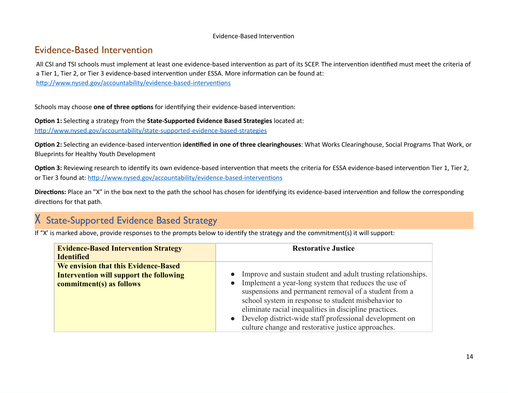#### Evidence-Based Intervention

### Evidence-Based Intervention

All CSI and TSI schools must implement at least one evidence-based intervention as part of its SCEP. The intervention identified must meet the criteria of a Tier 1, Tier 2, or Tier 3 evidence-based intervention under ESSA. More information can be found at: http://www.nysed.gov/accountability/evidence-based-interventions

Schools may choose **one of three options** for identifying their evidence-based intervention:

**Option 1:** Selecting a strategy from the **State-Supported Evidence Based Strategies** located at: <http://www.nysed.gov/accountability/state-supported-evidence-based-strategies>

**Option 2:** Selecting an evidence-based intervention **identified in one of three clearinghouses**: What Works Clearinghouse, Social Programs That Work, or Blueprints for Healthy Youth Development

**Option 3:** Reviewing research to identify its own evidence-based intervention that meets the criteria for ESSA evidence-based intervention Tier 1, Tier 2, or Tier 3 found at: <http://www.nysed.gov/accountability/evidence-based-interventions>

**Directions:** Place an "X" in the box next to the path the school has chosen for identifying its evidence-based intervention and follow the corresponding directions for that path.

# X State-Supported Evidence Based Strategy

If "X' is marked above, provide responses to the prompts below to identify the strategy and the commitment(s) it will support:

| <b>Evidence-Based Intervention Strategy</b><br><b>Identified</b>           | <b>Restorative Justice</b>                                                                                                                                                                                                                                                                                                                                                                                       |  |  |
|----------------------------------------------------------------------------|------------------------------------------------------------------------------------------------------------------------------------------------------------------------------------------------------------------------------------------------------------------------------------------------------------------------------------------------------------------------------------------------------------------|--|--|
| We envision that this Evidence-Based                                       |                                                                                                                                                                                                                                                                                                                                                                                                                  |  |  |
| <b>Intervention will support the following</b><br>commitment(s) as follows | Improve and sustain student and adult trusting relationships.<br>Implement a year-long system that reduces the use of<br>suspensions and permanent removal of a student from a<br>school system in response to student misbehavior to<br>eliminate racial inequalities in discipline practices.<br>Develop district-wide staff professional development on<br>culture change and restorative justice approaches. |  |  |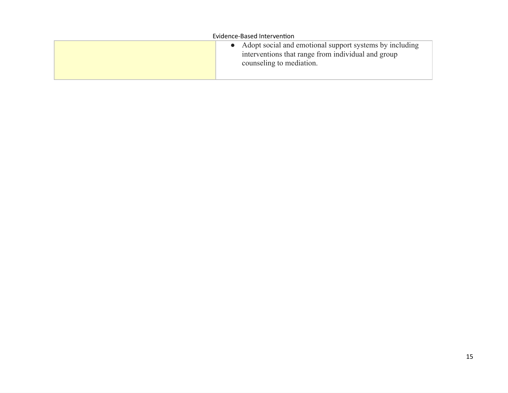| Evidence-Based Intervention |                                                                                                                                             |  |  |  |
|-----------------------------|---------------------------------------------------------------------------------------------------------------------------------------------|--|--|--|
|                             | • Adopt social and emotional support systems by including<br>interventions that range from individual and group<br>counseling to mediation. |  |  |  |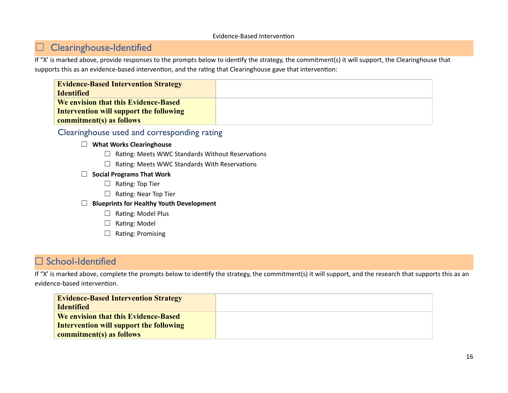#### Evidence-Based Intervention

## ☐ Clearinghouse-Identified

If "X' is marked above, provide responses to the prompts below to identify the strategy, the commitment(s) it will support, the Clearinghouse that supports this as an evidence-based intervention, and the rating that Clearinghouse gave that intervention:

| <b>Evidence-Based Intervention Strategy</b> |  |
|---------------------------------------------|--|
| <b>Identified</b>                           |  |
| We envision that this Evidence-Based        |  |
| Intervention will support the following     |  |
| commitment(s) as follows                    |  |

#### Clearinghouse used and corresponding rating

#### ☐ **What Works Clearinghouse**

- ☐ Rating: Meets WWC Standards Without Reservations
- ☐ Rating: Meets WWC Standards With Reservations
- ☐ **Social Programs That Work**
	- □ Rating: Top Tier
	- □ Rating: Near Top Tier
- ☐ **Blueprints for Healthy Youth Development**
	- ☐ Rating: Model Plus
	- □ Rating: Model
	- □ Rating: Promising

# □ School-Identified

If "X' is marked above, complete the prompts below to identify the strategy, the commitment(s) it will support, and the research that supports this as an evidence-based intervention.

| <b>Evidence-Based Intervention Strategy</b><br><b>Identified</b>                                            |  |
|-------------------------------------------------------------------------------------------------------------|--|
| We envision that this Evidence-Based<br>Intervention will support the following<br>commitment(s) as follows |  |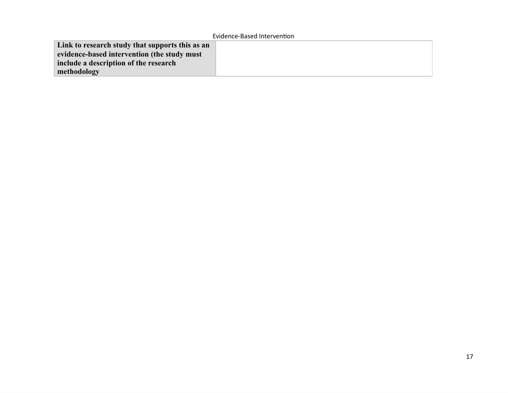**Link to research study that supports this as an evidence-based intervention (the study must include a description of the research methodology**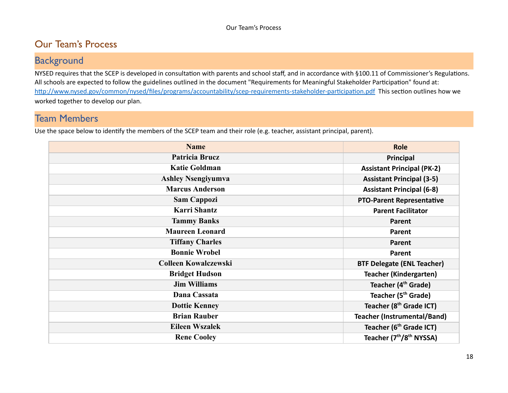# Our Team's Process

# **Background**

NYSED requires that the SCEP is developed in consultation with parents and school staff, and in accordance with §100.11 of Commissioner's Regulations. All schools are expected to follow the guidelines outlined in the document "Requirements for Meaningful Stakeholder Participation" found at: <http://www.nysed.gov/common/nysed/files/programs/accountability/scep-requirements-stakeholder-participation.pdf> This section outlines how we worked together to develop our plan.

# Team Members

Use the space below to identify the members of the SCEP team and their role (e.g. teacher, assistant principal, parent).

| <b>Name</b>                 | <b>Role</b>                                      |  |  |
|-----------------------------|--------------------------------------------------|--|--|
| <b>Patricia Brucz</b>       | Principal                                        |  |  |
| <b>Katie Goldman</b>        | <b>Assistant Principal (PK-2)</b>                |  |  |
| <b>Ashley Nsengiyumva</b>   | <b>Assistant Principal (3-5)</b>                 |  |  |
| <b>Marcus Anderson</b>      | <b>Assistant Principal (6-8)</b>                 |  |  |
| <b>Sam Cappozi</b>          | <b>PTO-Parent Representative</b>                 |  |  |
| <b>Karri Shantz</b>         | <b>Parent Facilitator</b>                        |  |  |
| <b>Tammy Banks</b>          | Parent                                           |  |  |
| <b>Maureen Leonard</b>      | Parent                                           |  |  |
| <b>Tiffany Charles</b>      | Parent                                           |  |  |
| <b>Bonnie Wrobel</b>        | Parent                                           |  |  |
| <b>Colleen Kowalczewski</b> | <b>BTF Delegate (ENL Teacher)</b>                |  |  |
| <b>Bridget Hudson</b>       | <b>Teacher (Kindergarten)</b>                    |  |  |
| <b>Jim Williams</b>         | Teacher (4 <sup>th</sup> Grade)                  |  |  |
| Dana Cassata                | Teacher (5 <sup>th</sup> Grade)                  |  |  |
| <b>Dottie Kenney</b>        | Teacher (8 <sup>th</sup> Grade ICT)              |  |  |
| <b>Brian Rauber</b>         | <b>Teacher (Instrumental/Band)</b>               |  |  |
| <b>Eileen Wszalek</b>       | Teacher (6 <sup>th</sup> Grade ICT)              |  |  |
| <b>Rene Cooley</b>          | Teacher (7 <sup>th</sup> /8 <sup>th</sup> NYSSA) |  |  |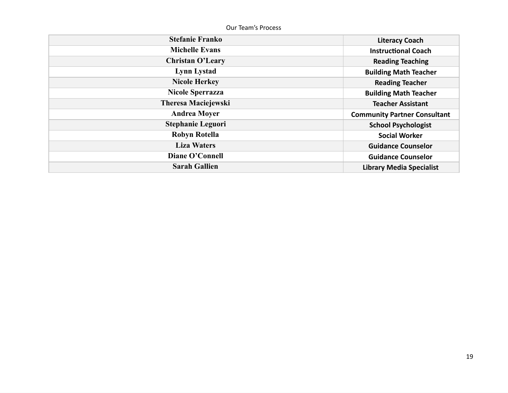Our Team's Process

| <b>Stefanie Franko</b>     | <b>Literacy Coach</b>               |
|----------------------------|-------------------------------------|
| <b>Michelle Evans</b>      | <b>Instructional Coach</b>          |
| <b>Christan O'Leary</b>    | <b>Reading Teaching</b>             |
| <b>Lynn Lystad</b>         | <b>Building Math Teacher</b>        |
| <b>Nicole Herkey</b>       | <b>Reading Teacher</b>              |
| <b>Nicole Sperrazza</b>    | <b>Building Math Teacher</b>        |
| <b>Theresa Maciejewski</b> | <b>Teacher Assistant</b>            |
| <b>Andrea Moyer</b>        | <b>Community Partner Consultant</b> |
| <b>Stephanie Leguori</b>   | <b>School Psychologist</b>          |
| Robyn Rotella              | <b>Social Worker</b>                |
| <b>Liza Waters</b>         | <b>Guidance Counselor</b>           |
| <b>Diane O'Connell</b>     | <b>Guidance Counselor</b>           |
| <b>Sarah Gallien</b>       | <b>Library Media Specialist</b>     |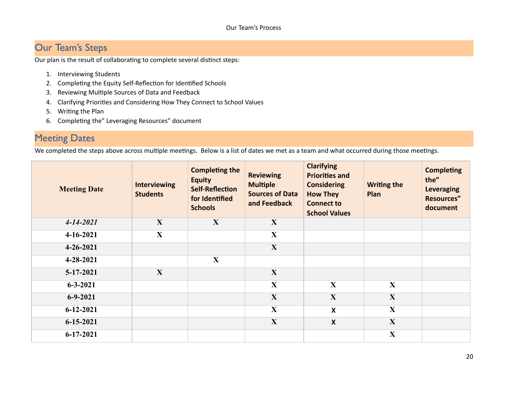# Our Team's Steps

Our plan is the result of collaborating to complete several distinct steps:

- 1. Interviewing Students
- 2. Completing the Equity Self-Reflection for Identified Schools
- 3. Reviewing Multiple Sources of Data and Feedback
- 4. Clarifying Priorities and Considering How They Connect to School Values
- 5. Writing the Plan
- 6. Completing the" Leveraging Resources" document

# Meeting Dates

We completed the steps above across multiple meetings. Below is a list of dates we met as a team and what occurred during those meetings.

| <b>Meeting Date</b> | <b>Interviewing</b><br><b>Students</b> | <b>Completing the</b><br><b>Equity</b><br><b>Self-Reflection</b><br>for Identified<br><b>Schools</b> | <b>Reviewing</b><br><b>Multiple</b><br><b>Sources of Data</b><br>and Feedback | <b>Clarifying</b><br><b>Priorities and</b><br><b>Considering</b><br><b>How They</b><br><b>Connect to</b><br><b>School Values</b> | <b>Writing the</b><br>Plan | <b>Completing</b><br>the"<br><b>Leveraging</b><br><b>Resources"</b><br>document |
|---------------------|----------------------------------------|------------------------------------------------------------------------------------------------------|-------------------------------------------------------------------------------|----------------------------------------------------------------------------------------------------------------------------------|----------------------------|---------------------------------------------------------------------------------|
| $4 - 14 - 2021$     | X                                      | X                                                                                                    | X                                                                             |                                                                                                                                  |                            |                                                                                 |
| $4 - 16 - 2021$     | X                                      |                                                                                                      | $\mathbf{X}$                                                                  |                                                                                                                                  |                            |                                                                                 |
| $4 - 26 - 2021$     |                                        |                                                                                                      | $\mathbf{X}$                                                                  |                                                                                                                                  |                            |                                                                                 |
| $4 - 28 - 2021$     |                                        | X                                                                                                    |                                                                               |                                                                                                                                  |                            |                                                                                 |
| 5-17-2021           | $\mathbf{X}$                           |                                                                                                      | $\mathbf{X}$                                                                  |                                                                                                                                  |                            |                                                                                 |
| $6 - 3 - 2021$      |                                        |                                                                                                      | $\mathbf X$                                                                   | $\mathbf X$                                                                                                                      | $\mathbf{X}$               |                                                                                 |
| $6 - 9 - 2021$      |                                        |                                                                                                      | $\mathbf{X}$                                                                  | $\mathbf{X}$                                                                                                                     | $\mathbf{X}$               |                                                                                 |
| $6 - 12 - 2021$     |                                        |                                                                                                      | $\mathbf X$                                                                   | $\boldsymbol{X}$                                                                                                                 | $\mathbf X$                |                                                                                 |
| $6 - 15 - 2021$     |                                        |                                                                                                      | $\mathbf{X}$                                                                  | $\boldsymbol{X}$                                                                                                                 | $\mathbf{X}$               |                                                                                 |
| $6 - 17 - 2021$     |                                        |                                                                                                      |                                                                               |                                                                                                                                  | $\mathbf{X}$               |                                                                                 |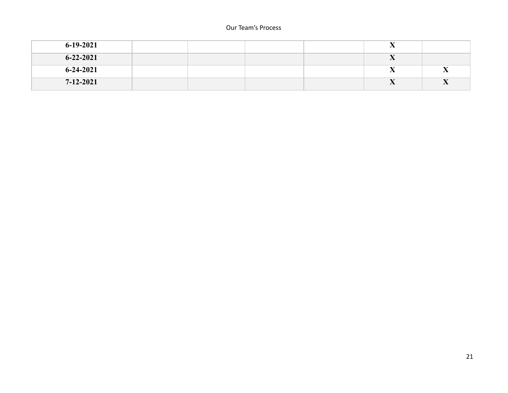#### Our Team's Process

| 6-19-2021       |  |  | $\overline{\phantom{a}}$ |                |
|-----------------|--|--|--------------------------|----------------|
| $6 - 22 - 2021$ |  |  | $\overline{ }$           |                |
| $6 - 24 - 2021$ |  |  | $\overline{ }$           | $\overline{A}$ |
| $7 - 12 - 2021$ |  |  | $\overline{A}$           | $\sqrt{2}$     |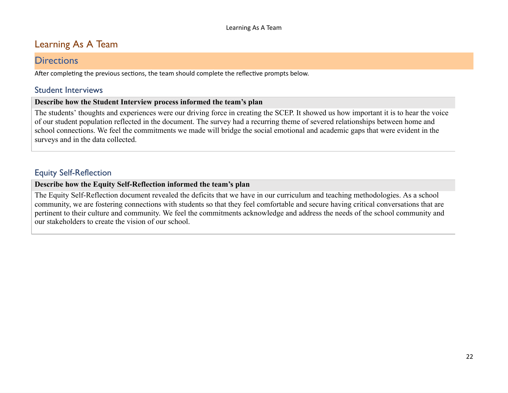# Learning As A Team

#### **Directions**

After completing the previous sections, the team should complete the reflective prompts below.

#### Student Interviews

#### **Describe how the Student Interview process informed the team's plan**

The students' thoughts and experiences were our driving force in creating the SCEP. It showed us how important it is to hear the voice of our student population reflected in the document. The survey had a recurring theme of severed relationships between home and school connections. We feel the commitments we made will bridge the social emotional and academic gaps that were evident in the surveys and in the data collected.

### Equity Self-Reflection

#### **Describe how the Equity Self-Reflection informed the team's plan**

The Equity Self-Reflection document revealed the deficits that we have in our curriculum and teaching methodologies. As a school community, we are fostering connections with students so that they feel comfortable and secure having critical conversations that are pertinent to their culture and community. We feel the commitments acknowledge and address the needs of the school community and our stakeholders to create the vision of our school.